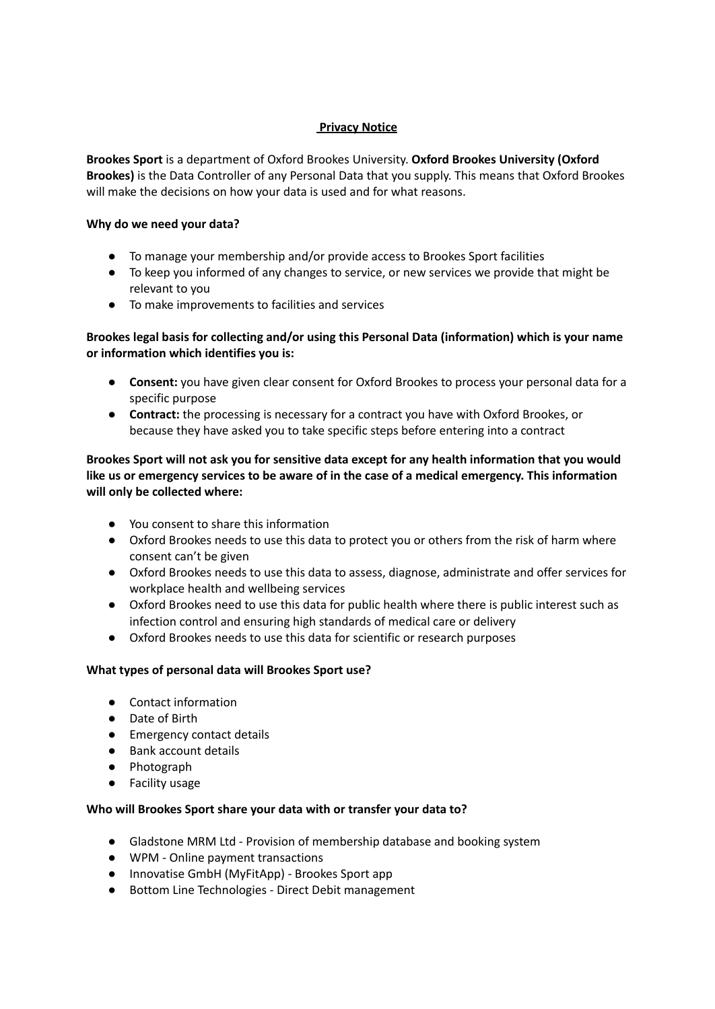## **Privacy Notice**

**Brookes Sport** is a department of Oxford Brookes University. **Oxford Brookes University (Oxford Brookes)** is the Data Controller of any Personal Data that you supply. This means that Oxford Brookes will make the decisions on how your data is used and for what reasons.

## **Why do we need your data?**

- To manage your membership and/or provide access to Brookes Sport facilities
- To keep you informed of any changes to service, or new services we provide that might be relevant to you
- To make improvements to facilities and services

# **Brookes legal basis for collecting and/or using this Personal Data (information) which is your name or information which identifies you is:**

- **Consent:** you have given clear consent for Oxford Brookes to process your personal data for a specific purpose
- **Contract:** the processing is necessary for a contract you have with Oxford Brookes, or because they have asked you to take specific steps before entering into a contract

# **Brookes Sport will not ask you for sensitive data except for any health information that you would like us or emergency services to be aware of in the case of a medical emergency. This information will only be collected where:**

- You consent to share this information
- Oxford Brookes needs to use this data to protect you or others from the risk of harm where consent can't be given
- Oxford Brookes needs to use this data to assess, diagnose, administrate and offer services for workplace health and wellbeing services
- Oxford Brookes need to use this data for public health where there is public interest such as infection control and ensuring high standards of medical care or delivery
- Oxford Brookes needs to use this data for scientific or research purposes

# **What types of personal data will Brookes Sport use?**

- Contact information
- Date of Birth
- Emergency contact details
- Bank account details
- Photograph
- Facility usage

# **Who will Brookes Sport share your data with or transfer your data to?**

- Gladstone MRM Ltd Provision of membership database and booking system
- WPM Online payment transactions
- Innovatise GmbH (MvFitApp) Brookes Sport app
- Bottom Line Technologies Direct Debit management